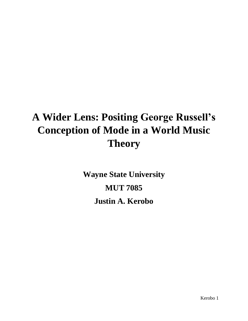# **A Wider Lens: Positing George Russell's Conception of Mode in a World Music Theory**

**Wayne State University MUT 7085 Justin A. Kerobo**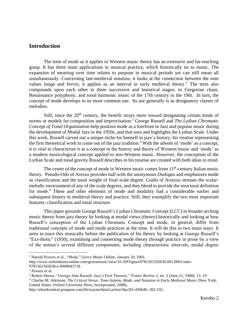# **Introduction**

The term of mode as it applies to Western music theory has an extensive and far-reaching grasp. It has three main applications in musical practice, which historically tie to music. The expansion of meaning over time relates to purpose in musical periods yet can still mean all simultaneously. Concerning late-medieval notation, it looks at the connection between the note values *longa* and *brevis*; it applies as an interval in early medieval theory. <sup>1</sup> The term also compounds upon each other in three successive and historical stages: to Gregorian chant, Renaissance polyphony, and tonal harmonic music of the 17th century to the 19th. In turn, the concept of mode develops to its most common use. Its use generally is as designatory classes of melodies.

Still, since the 20<sup>th</sup> century, the benefit strays more toward designating certain kinds of norms or models for composition and improvisation.<sup>2</sup> George Russell and *The Lydian Chromatic Concept of Tonal Organization* help position mode as a forefront in Jazz and popular music during the development of Modal Jazz in the 1950s, and that uses and highlights the Lydian Scale. Under this work, Russell carved out a unique niche for himself in jazz's history, his treatise representing the first theoretical work to come out of the jazz tradition.<sup>3</sup> With the advent of 'mode' as a concept, it is vital to characterize it as a concept in the history and theory of Western music and 'mode' as a modern musicological concept applied to non-Western music. However, the conception of the Lydian Scale and tonal gravity Russell describes in his treatise are created with both ideas in mind.

The center of the concept of mode in Western music comes from 11<sup>th</sup>-century Italian music theory. Pseudo-Odo of Arezzo provides half with the anonymous *Dialogus* and emphasizes mode as classification and the tonal weight of final scale degree. Guido of Arrezzo stresses the scalarmelodic environment of any of the scale degrees, and they blend to provide the structural definition for mode.<sup>4</sup> These and other elements of mode and modality had a considerable earlier and subsequent history in medieval theory and practice. Still, they exemplify the two most important features: classification and tonal structure.

This paper grounds George Russell's Lydian Chromatic Concept (LCC) in broader arching music theory from jazz theory by looking at modal views (theory) historically and looking at how Russell's conception of the Lydian Chromatic Concept and mode, in general, differ from traditional concepts of mode and mode practices at the time. It will do this in two main ways. It aims to trace this musically before the publication of his theory by looking at George Russell's "Ezz-thetic" (1950), examining and connecting mode theory through practice in prose by a view of the notion's several different components, including characteristic intervals, modal degree

<sup>&</sup>lt;sup>1</sup> Harold Powers et al., "Mode," Grove Music Online, January 20, 2001,

http://www.oxfordmusiconline.com/grovemusic/view/10.1093/gmo/9781561592630.001.0001/omo-

<sup>9781561592630-</sup>e-0000043718.

<sup>2</sup> Powers et al.

<sup>3</sup> Robert Moore, "George Alan Russell: Jazz's First Theorist," *Trotter Review* 2, no. 2 (June 21, 1988): 15–19.

<sup>4</sup> Charles M. Atkinson, *The Critical Nexus: Tone-System, Mode, and Notation in Early Medieval Music* (New York, United States: Oxford University Press, Incorporated, 2008),

http://ebookcentral.proquest.com/lib/wayne/detail.action?docID=430640. 202-233.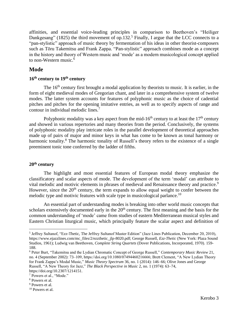affinities, and essential voice-leading principles in comparison to Beethoven's "Heiliger Dankgesang" (1825) the third movement of op.132.<sup>5</sup> Finally, I argue that the LCC connects to a "pan-stylistic" approach of music theory by fermentation of his ideas in other theorist-composers such as Tōru Takemitsu and Frank Zappa. "Pan-stylistic" approach combines mode as a concept in the history and theory of Western music and 'mode' as a modern musicological concept applied to non-Western music.<sup>6</sup>

## **Mode**

## **16th century to 19th century**

The 16<sup>th</sup> century first brought a modal application by theorists to music. It is earlier, in the form of eight medieval modes of Gregorian chant, and later in a comprehensive system of twelve modes. The latter system accounts for features of polyphonic music as the choice of cadential pitches and pitches for the opening imitative entries, as well as to specify aspects of range and contour in individual melodic lines.<sup>7</sup>

Polyphonic modality was a key aspect from the mid-16<sup>th</sup> century to at least the  $17<sup>th</sup>$  century and showed in various repertories and many theories from the period. Conclusively, the systems of polyphonic modality play intricate roles in the parallel development of theoretical approaches made up of pairs of major and minor keys in what has come to be known as tonal harmony or harmonic tonality.<sup>8</sup> The harmonic tonality of Russell's theory refers to the existence of a single preeminent tonic tone conferred by the ladder of fifths.

## **20th century**

The highlight and most essential features of European modal theory emphasize the classificatory and scalar aspects of mode. The development of the term 'modal' can attribute to vital melodic and motivic elements in phrases of medieval and Renaissance theory and practice.<sup>9</sup> However, since the  $20<sup>th</sup>$  century, the term expands to allow equal weight to confer between the melodic type and motivic features with scale type in musicological parlance.<sup>10</sup>

An essential part of understanding modes is breaking into other world music concepts that scholars extensively documented early in the  $20<sup>th</sup>$  century. The first meaning and the basis for the common understanding of 'mode' came from studies of eastern Mediterranean musical styles and Eastern Christian liturgical music, which principally feature the scalar aspect and definition of

<sup>5</sup> Jeffrey Sultanof, "Ezz-Thetic, The Jeffrey Sultanof Master Edition" (Jazz Lines Publication, December 20, 2010), https://www.ejazzlines.com/mc\_files/2/ezzthetic\_jlp-8020.pdf; George Russell, *Ezz-Thetic* (New York: Plaza Sound Studios, 1961); Ludwig van Beethoven, *Complete String Quartets* (Dover Publications, Incorporated, 1970). 159- 188.

<sup>6</sup> Peter Burt, "Takemitsu and the Lydian Chromatic Concept of George Russell," *Contemporary Music Review* 21, no. 4 (September 2002): 73–109, https://doi.org/10.1080/07494460216666; Brett Clement, "A New Lydian Theory for Frank Zappa's Modal Music," *Music Theory Spectrum* 36, no. 1 (2014): 146–66; Olive Jones and George Russell, "A New Theory for Jazz," *The Black Perspective in Music* 2, no. 1 (1974): 63–74, https://doi.org/10.2307/1214151.

<sup>7</sup> Powers et al., "Mode."

<sup>8</sup> Powers et al.

<sup>&</sup>lt;sup>9</sup> Powers et al.

<sup>10</sup> Powers et al.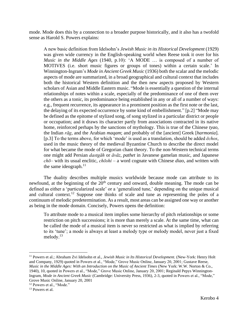mode. Mode does this by a connection to a broader purpose historically, and it also has a twofold sense as Harold S. Powers explains:

A new basic definition from Idelsohn's *Jewish Music in its Historical Development* (1929) was given wide currency in the English-speaking world when Reese took it over for his *Music in the Middle Ages* (1940, p.10): 'A MODE … is composed of a number of MOTIVES (i.e. short music figures or groups of tones) within a certain scale.' In Winnington-Ingram's *Mode in Ancient Greek Music* (1936) both the scalar and the melodic aspects of mode are summarized, in a broad geographical and cultural context that includes both the historical Western definition and the then new aspects proposed by Western scholars of Asian and Middle Eastern music. "Mode is essentially a question of the internal relationships of notes within a scale, especially of the predominance of one of them over the others as a tonic, its predominance being established in any or all of a number of ways: e.g., frequent recurrence, its appearance in a prominent position as the first note or the last, the delaying of its expected occurrence by some kind of embellishment." [p.2] "Mode may be defined as the epitome of stylized song, of song stylized in a particular district or people or occupation; and it draws its character partly from associations contracted in its native home, reinforced perhaps by the sanctions of mythology. This is true of the Chinese *tyao*, the Indian *rāg*, and the Arabian *maqam*; and probably of the [ancient] Greek [*harmonia*]. [p.3] To the terms above, for which 'mode' is used as a translation, should be added *ēchos*, used in the music theory of the medieval Byzantine Church to describe the direct model for what became the mode of Gregorian chant theory. To the non-Western technical terms one might add Persian *dastgāh* or *āvāz*, *pathet* in Javanese gamelan music, and Japanese *chō*– with its usual enclitic, *chōshi* – a word cognate with Chinese *diao*, and written with the same ideograph. $^{11}$ 

The duality describes multiple musics worldwide because mode can attribute to its newfound, at the beginning of the  $20<sup>th</sup>$  century and onward, double meaning. The mode can be defined as either a 'particularized scale' or a 'generalized tune,' depending on the unique musical and cultural context.<sup>12</sup> Suppose one thinks of scale and tune as representing the poles of a continuum of melodic predetermination. As a result, most areas can be assigned one way or another as being in the mode domain. Concisely, Powers opens the definition:

To attribute mode to a musical item implies some hierarchy of pitch relationships or some restriction on pitch successions; it is more than merely a scale. At the same time, what can be called the mode of a musical item is never so restricted as what is implied by referring to its 'tune'; a mode is always at least a melody type or melody model, never just a fixed melody.<sup>13</sup>

<sup>11</sup> Powers et al.; Abraham Zvi Idelsohn et al., *Jewish Music in Its Historical Development.* (New-York: Henry Holt and Company, 1929) quoted in Powers et al., "Mode," Grove Music Online, January 20, 2001; Gustave Reese, *Music in the Middle Ages: With an Introduction on the Music of Ancient Times* (New York: W.W. Norton & Co., 1940), 10, quoted in Powers et al., "Mode," Grove Music Online, January 20, 2001; Reginald Pepys Winnington-Ingram, *Mode in Ancient Greek Music* (Cambridge: University Press, 1936), 2-3, quoted in Powers et al., "Mode," Grove Music Online, January 20, 2001

<sup>&</sup>lt;sup>12</sup> Powers et al., "Mode."

<sup>&</sup>lt;sup>13</sup> Powers et al.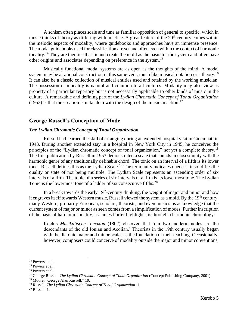A schism often places scale and tune as familiar opposition of general to specific, which in music thinks of theory as differing with practice. A great feature of the  $20<sup>th</sup>$  century comes within the melodic aspects of modality, where guidebooks and approaches have an immense presence. The modal guidebooks used for classification are set and often even within the context of harmonic tonality.<sup>14</sup> They are theories that fit and create the mold as the basis for the system and often have other origins and associates depending on preference in the system.<sup>15</sup>

Musically functional modal systems are as open as the thoughts of the mind. A modal system may be a rational construction in this same vein, much like musical notation or a theory.<sup>16</sup> It can also be a classic collection of musical entities used and retained by the working musician. The possession of modality is natural and common to all cultures. Modality may also view as property of a particular repertory but is not necessarily applicable to other kinds of music in the culture. A remarkable and defining part of the *Lydian Chromatic Concept of Tonal Organization*  $(1953)$  is that the creation is in tandem with the design of the music in action.<sup>17</sup>

# **George Russell's Conception of Mode**

#### *The Lydian Chromatic Concept of Tonal Organization*

Russell had learned the skill of arranging during an extended hospital visit in Cincinnati in 1943. During another extended stay in a hospital in New York City in 1945, he conceives the principles of the "Lydian chromatic concept of tonal organization," not yet a complete theory.<sup>18</sup> The first publication by Russell in 1953 demonstrated a scale that sounds in closest unity with the harmonic genre of any traditionally definable chord. The tonic on an interval of a fifth is its lower tone. Russell defines this as the Lydian Scale.<sup>19</sup> The term unity indicates oneness; it solidifies the quality or state of not being multiple. The Lydian Scale represents an ascending order of six intervals of a fifth. The tonic of a series of six intervals of a fifth is its lowermost tone. The Lydian Tonic is the lowermost tone of a ladder of six consecutive fifths.<sup>20</sup>

In a break towards the early  $19<sup>th</sup>$ -century thinking, the weight of major and minor and how it engraves itself towards Western music, Russell viewed the system as a mold. By the 19<sup>th</sup> century, many Western, primarily European, scholars, theorists, and even musicians acknowledge that the current system of major or minor as seen comes from a simplification of modes. Further inscription of the basis of harmonic tonality, as James Porter highlights, is through a harmonic chronology:

Koch's *Musikalisches Lexikon* (1802) observed that 'our two modern modes are the descendants of the old Ionian and Aeolian.' Theorists in the 19th century usually began with the diatonic major and minor scales as the foundation of their teaching. Occasionally, however, composers could conceive of modality outside the major and minor conventions,

<sup>&</sup>lt;sup>14</sup> Powers et al.

<sup>&</sup>lt;sup>15</sup> Powers et al.

<sup>16</sup> Powers et al.

<sup>17</sup> George Russell, *The Lydian Chromatic Concept of Tonal Organization* (Concept Publishing Company, 2001).

<sup>18</sup> Moore, "George Alan Russell." 19.

<sup>19</sup> Russell, *The Lydian Chromatic Concept of Tonal Organization*. 1.

<sup>20</sup> Russell. 1.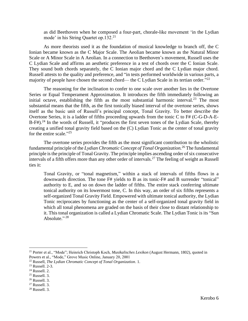as did Beethoven when he composed a four-part, chorale-like movement 'in the Lydian mode' in his String Quartet op.132. $^{21}$ 

As more theorists used it as the foundation of musical knowledge to branch off, the C Ionian became known as the C Major Scale. The Aeolian became known as the Natural Minor Scale or A Minor Scale in A Aeolian. In a connection to Beethoven's movement, Russell uses the C Lydian Scale and affirms an aesthetic preference in a test of chords over the C Ionian Scale. They sound both chords separately, the C Ionian major chord and the C Lydian major chord. Russell attests to the quality and preference, and "in tests performed worldwide in various parts, a majority of people have chosen the second chord— the C Lydian Scale in its tertian order."<sup>22</sup>

The reasoning for the inclination to confer to one scale over another lies in the Overtone Series or Equal Temperament Approximation. It introduces the fifth immediately following an initial octave, establishing the fifth as the most substantial harmonic interval.<sup>23</sup> The most substantial means that the fifth, as the first tonically biased interval of the overtone series, shows itself as the basic unit of Russell's principal concept, Tonal Gravity. To better describe the Overtone Series, it is a ladder of fifths proceeding upwards from the tonic C to F# (C-G-D-A-E-B-F# $)$ .<sup>24</sup> In the words of Russell, it "produces the first seven tones of the Lydian Scale, thereby creating a unified tonal gravity field based on the (C) Lydian Tonic as the center of tonal gravity for the entire scale."25

The overtone series provides the fifth as the most significant contribution to the wholistic fundamental principle of the *Lydian Chromatic Concept of Tonal Organization.*<sup>26</sup> The fundamental principle is the principle of Tonal Gravity. The principle implies ascending order of six consecutive intervals of a fifth offers more than any other order of intervals. <sup>27</sup> The feeling of weight as Russell ties it:

Tonal Gravity, or "tonal magnetism," within a stack of intervals of fifths flows in a downwards direction. The tone F# yields to B as its tonic-F# and B surrender "tonical" authority to E, and so on down the ladder of fifths. The entire stack conferring ultimate tonical authority on its lowermost tone, C. In this way, an order of six fifths represents a self-organized Tonal Gravity Field. Empowered with ultimate tonical authority, the Lydian Tonic reciprocates by functioning as the center of a self-organized tonal gravity field in which all tonal phenomena are graded on the basis of their close to distant relationship to it. This tonal organization is called a Lydian Chromatic Scale. The Lydian Tonic is its "Sun Absolute."  $^{28}$ 

<sup>21</sup> Porter et al., "Mode"; Heinrich Christoph Koch, *Musikalisches Lexikon* (August Hermann, 1802), quoted in Powers et al., "Mode," Grove Music Online, January 20, 2001

<sup>22</sup> Russell, *The Lydian Chromatic Concept of Tonal Organization*. 1.

<sup>23</sup> Russell. 2-3.

<sup>24</sup> Russell. 2.

 $25$  Russell. 3.

<sup>26</sup> Russell. 3.

<sup>27</sup> Russell. 3.

<sup>28</sup> Russell. 3.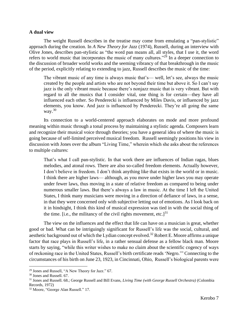#### **A dual view**

The weight Russell describes in the treatise may come from emulating a "pan-stylistic" approach during the creation. In *A New Theory for Jazz* (1974), Russell, during an interview with Olive Jones, describes pan-stylistic as "the word pan means all, all styles, that I use it, the word refers to world music that incorporates the music of many cultures."<sup>29</sup> In a deeper connection to the discussion of broader world works and the seeming vibrancy of that breakthrough in the music of the period, explicitly relating to extending to jazz, Russell describes the music of the time:

The vibrant music of any time is always music that's— well, let's see, always the music created by the people and artists who are not beyond their time but above it. So I can't say jazz is the only vibrant music because there's nonjazz music that is very vibrant. But with regard to all the musics that I consider vital, one thing is for certain—they have all influenced each other. So Penderecki is influenced by Miles Davis, or influenced by jazz elements, you know. And jazz is influenced by Penderecki. They're all going the same way. $30$ 

Its connection to a world-centered approach elaborates on mode and more profound meaning within music through a tonal process by maintaining a stylistic agenda. Composers learn and recognize their musical voice through theories; you have a general idea of where the music is going because of self-limited perceived musical freedom. Russell seemingly positions his view in discussion with Jones over the album "Living Time," wherein which she asks about the references to multiple cultures:

That's what I call pan-stylistic. In that work there are influences of Indian ragas, blues melodies, and atonal rows. There are also so-called freedom elements. Actually however, I don't believe in freedom. I don't think anything like that exists in the world or in music. I think there are higher laws— although, as you move under higher laws you may operate under fewer laws, thus moving in a state of relative freedom as compared to being under numerous smaller laws. But there's always a law in music. At the time I left the United States, I think many musicians were moving in a direction of defiance of laws, in a sense, in that they were concerned only with subjective letting out of emotions. As I look back on it in hindsight, I think this kind of musical expression was tied in with the social thing of the time. [i.e., the militancy of the civil rights movement, etc.] $31$ 

The view on the influences and the effect that life can have on a musician is great, whether good or bad. What can be intriguingly significant for Russell's life was the social, cultural, and aesthetic background out of which the Lydian concept evolved.<sup>32</sup> Robert E. Moore affirms a unique factor that race plays in Russell's life, in a rather sensual defense as a fellow black man. Moore starts by saying, "while this writer wishes to make no claim about the scientific cogency of ways of reckoning race in the United States, Russell's birth certificate reads 'Negro.'" Connecting to the circumstances of his birth on June 23, 1923, in Cincinnati, Ohio, Russell's biological parents were

<sup>29</sup> Jones and Russell, "A New Theory for Jazz." 67.

<sup>30</sup> Jones and Russell. 67.

<sup>31</sup> Jones and Russell. 68.; George Russell and Bill Evans, *Living Time (with George Russell Orchestra)* (Colombia Records, 1972)

<sup>32</sup> Moore, "George Alan Russell." 17.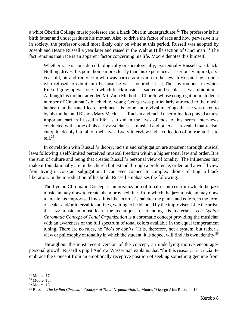a white Oberlin College music professor and a black Oberlin undergraduate.<sup>33</sup> The professor is his birth father and undergraduate his mother. Also, to drive the factor of race and how pervasive it is in society, the professor could most likely only be white at this period. Russell was adopted by Joseph and Bessie Russell a year later and raised in the Walnut Hills section of Cincinnati. <sup>34</sup> The fact remains that race is an apparent factor concerning his life. Moore denotes this himself:

Whether race is considered biologically or sociologically, existentially Russell was black. Nothing drives this point home more clearly than his experience as a seriously injured, sixyear-old, hit-and-run victim who was barred admission to the Jewish Hospital by a nurse who refused to admit him because he was "colored." [...] The environment in which Russell grew up was one in which black music — sacred and secular — was ubiquitous. Although his mother attended Mt. Zion Methodist Church, whose congregation included a number of Cincinnati's black elite, young George was particularly attracted to the music he heard at the sanctified church near his home and revival meetings that he was taken to by his mother and Bishop Mary Mack. […] Racism and racial discrimination played a most important part in Russell's life, as it did in the lives of most of his peers. Interviews conducted with some of his early associates — musical and others — revealed that racism cut quite deeply into all of their lives. Every interview had a collection of horror stories to tell. $35$ 

In correlation with Russell's theory, racism and subjugation are apparent through musical laws following a self-limited perceived musical freedom within a higher tonal law and order. It is the sum of culture and being that creates Russell's personal view of tonality. The influences that make it foundationally are in the church but extend through a preference, order, and a world view from living in constant subjugation. It can even connect to complex idioms relating to black liberation. In the introduction of his book, Russell emphasizes the following:

The Lydian Chromatic Concept is an organization of tonal resources from which the jazz musician may draw to create his improvised lines from which the jazz musician may draw to create his improvised lines. It is like an artist's palette: the paints and colors, in the form of scales and/or intervallic motives, waiting to be blended by the improviser. Like the artist, the jazz musician must learn the techniques of blending his materials. *The Lydian Chromatic Concept of Tonal Organization* is a chromatic concept providing the musician with an awareness of the full spectrum of tonal colors available in the equal temperament tuning. There are no rules, no "do's or don'ts." It is, therefore, not a system, but rather a view or philosophy of tonality in which the student, it is hoped, will find his own identity.<sup>36</sup>

Throughout the most recent version of the concept, an underlying motive encourages personal growth. Russell's pupil Andrew Wasserman explains that "for this reason, it is crucial to embrace the Concept from an emotionally receptive position of seeking something genuine from

<sup>33</sup> Moore. 17.

<sup>34</sup> Moore. 18.

<sup>35</sup> Moore. 18.

<sup>36</sup> Russell, *The Lydian Chromatic Concept of Tonal Organization.*1.; Moore, "George Alan Russell." 16.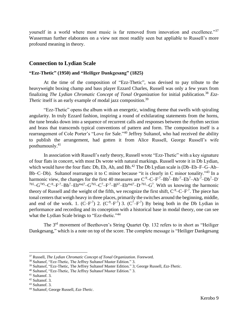yourself in a world where most music is far removed from innovation and excellence."<sup>37</sup> Wasserman further elaborates on a view not most readily seen but appliable to Russell's more profound meaning in theory.

# **Connection to Lydian Scale**

### **"Ezz-Thetic" (1950) and "Heiliger Dankgesang" (1825)**

At the time of the composition of "Ezz-Thetic", was devised to pay tribute to the heavyweight boxing champ and bass player Ezzard Charles, Russell was only a few years from finalizing *The Lydian Chromatic Concept of Tonal Organization* for initial publication. <sup>38</sup> *Ezz-Thetic* itself is an early example of modal jazz composition. 39

"Ezz-Thetic" opens the album with an energetic, winding theme that swells with spiraling angularity. In truly Ezzard fashion, inspiring a round of exhilarating statements from the horns, the tune breaks down into a sequence of recurrent calls and responses between the rhythm section and brass that transcends typical conventions of pattern and form. The composition itself is a rearrangement of Cole Porter's "Love for Sale."<sup>40</sup> Jeffrey Sultanof, who had received the ability to publish the arrangement, had gotten it from Alice Russell, George Russell's wife posthumously. 41

In association with Russell's early theory, Russell wrote "Ezz-Thetic" with a key signature of four flats in concert, with most Ds wrote with natural markings. Russell wrote it in Db Lydian, which would have the four flats: Db, Eb, Ab, and Bb.<sup>42</sup> The Db Lydian scale is (Db–Eb–F–G–Ab– Bb–C–Db). Sultanof rearranges it to C minor because "it is clearly in C minor tonality."<sup>43</sup> In a harmonic view, the changes for the first 40 measures are  $C^{-9}$ -C-F<sup>-7</sup>-Bb<sup>7</sup>-Bb<sup>-7</sup>-Eb<sup>7</sup>-Ab<sup>-7</sup>-Db<sup>7</sup>-D<sup>-7</sup>  $^{7b5}$ -G<sup>7#5</sup>-C<sup>-9</sup>-F<sup>-7</sup>-Bb<sup>7</sup>-Eb<sup>maj7</sup>-G<sup>7b5</sup>-C<sup>7</sup>-F<sup>-7</sup>-B<sup>b7</sup>-Eb<sup>maj7</sup>-D<sup>-7b5</sup>-G<sup>7</sup>. With us knowing the harmonic theory of Russell and the weight of the fifth, we recognize the first shift,  $C^{-9}$ – $C$ – $F^{-7}$ . The piece has tonal centers that weigh heavy in three places, primarily the switches around the beginning, middle, and end of the work. 1.  $(C-F^7)$  2.  $(C^9-F^7)$  3.  $(C^7-F^7)$  By being both in the Db Lydian in performance and recording and its conception with a historical base in modal theory, one can see what the Lydian Scale brings to "Ezz-thetic."<sup>44</sup>

The 3<sup>rd</sup> movement of Beethoven's String Quartet Op. 132 refers to in short as "Heiliger Dankgesang," which is a note on top of the score. The complete message is "Heiliger Dankgesang

<sup>37</sup> Russell, *The Lydian Chromatic Concept of Tonal Organization*. Foreword.

<sup>38</sup> Sultanof, "Ezz-Thetic, The Jeffrey Sultanof Master Edition." 3.

<sup>39</sup> Sultanof, "Ezz-Thetic, The Jeffrey Sultanof Master Edition." 3; George Russell, *Ezz-Thetic*.

<sup>40</sup> Sultanof, "Ezz-Thetic, The Jeffrey Sultanof Master Edition." 3.

<sup>41</sup> Sultanof. 3.

<sup>42</sup> Sultanof. 3.

<sup>43</sup> Sultanof. 3.

<sup>44</sup> Sultanof; George Russell, *Ezz-Thetic*.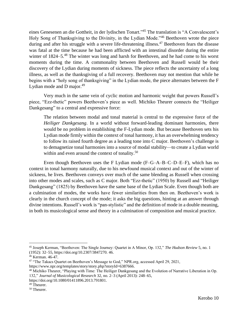eines Genesenen an die Gottheit, in der lydischen Tonart."<sup>45</sup> The translation is "A Convalescent's Holy Song of Thanksgiving to the Divinity, in the Lydian Mode."<sup>46</sup> Beethoven wrote the piece during and after his struggle with a severe life-threatening illness.<sup>47</sup> Beethoven fears the disease was fatal at the time because he had been afflicted with an intestinal disorder during the entire winter of  $1824-5$ <sup>48</sup>. The winter was long and harsh for Beethoven, and he had come to his worst moments during the time. A commonality between Beethoven and Russell would be their discovery of the Lydian during moments of sickness. The piece reflects the uncertainty of a long illness, as well as the thanksgiving of a full recovery. Beethoven may not mention that while he begins with a "holy song of thanksgiving" in the Lydian mode, the piece alternates between the F Lydian mode and D major. $49$ 

Very much in the same vein of cyclic motion and harmonic weight that powers Russell's piece, "Ezz-thetic" powers Beethoven's piece as well. Michiko Theurer connects the "Heiliger Dankgesang" to a central and expressive force:

The relation between modal and tonal material is central to the expressive force of the *Heiliger Dankgesang*. In a world without forward-leading dominant harmonies, there would be no problem in establishing the F-Lydian mode. But because Beethoven sets his Lydian mode firmly within the context of tonal harmony, it has an overwhelming tendency to follow its raised fourth degree as a leading tone into C major. Beethoven's challenge is to demagnetize tonal harmonies into a source of modal stability—to create a Lydian world within and even around the context of tonality.<sup>50</sup>

Even though Beethoven uses the F Lydian mode (F–G–A–B–C–D–E–F), which has no context in tonal harmony naturally, due to his newfound musical context and out of the winter of sickness, he lives. Beethoven conveys over much of the same blending as Russell when crossing into other modes and scales, such as C major. Both "Ezz-thetic" (1950) by Russell and "Heiliger Dankgesang" (1825) by Beethoven have the same base of the Lydian Scale. Even though both are a culmination of modes, the works have fewer similarities from then on. Beethoven's work is clearly in the church concept of the mode; it asks the big questions, hinting at an answer through divine intentions. Russell's work is "pan-stylistic" and the definition of mode in a double meaning, in both its musicological sense and theory in a culmination of composition and musical practice.

<sup>45</sup> Joseph Kerman, "Beethoven: The Single Journey: Quartet in A Minor, Op. 132," *The Hudson Review* 5, no. 1 (1952): 32–55, https://doi.org/10.2307/3847270. 46.

<sup>46</sup> Kerman. 46-47.

<sup>&</sup>lt;sup>47</sup> "The Takacs Quartet on Beethoven's Message to God," NPR.org, accessed April 29, 2021, https://www.npr.org/templates/story/story.php?storyId=6387666.

<sup>48</sup> Michiko Theurer, "Playing with Time: The Heiliger Dankgesang and the Evolution of Narrative Liberation in Op. 132," *Journal of Musicological Research* 32, no. 2–3 (April 2013): 248–65,

https://doi.org/10.1080/01411896.2013.791801.

<sup>&</sup>lt;sup>49</sup> Theurer.

<sup>&</sup>lt;sup>50</sup> Theurer.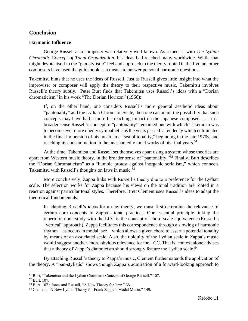# **Conclusion**

## **Harmonic Influence**

George Russell as a composer was relatively well-known. As a theorist with *The Lydian Chromatic Concept of Tonal Organization,* his ideas had reached many worldwide. While that might devote itself to the "pan-stylistic" feel and approach to the theory rooted in the Lydian, other composers have used the guidebook as a means to answer personal harmonic questions.

Takemitsu hints that he uses the ideas of Russell. Just as Russell gives little insight into what the improviser or composer will apply the theory to their respective music, Takemitsu involves Russell's theory subtly. Peter Burt finds that Takemitsu uses Russell's ideas with a "Dorian chromaticism" in his work "The Dorian Horizon" (1966):

If, on the other hand, one considers Russell's more general aesthetic ideas about "pantonality" and the Lydian Chromatic Scale, then one can admit the possibility that such concepts may have had a more far-reaching impact on the Japanese composer. […] in a broader sense Russell's concept of "pantonality" remained one with which Takemitsu was to become ever more openly sympathetic as the years passed: a tendency which culminated in the final immersion of his music in a "sea of tonality," beginning in the late 1970s, and reaching its consummation in the unashamedly tonal works of his final years.<sup>51</sup>

At the time, Takemitsu and Russell set themselves apart using a system whose theories are apart from Western music theory, in the broader sense of "pantonality."<sup>52</sup> Finally, Burt describes the "Dorian Chromaticism" as a "humble protest against inorganic serialism," which connects Takemitsu with Russell's thoughts on laws in music.<sup>53</sup>

More conclusively, Zappa links with Russell's theory due to a preference for the Lydian scale. The selection works for Zappa because his views on the tonal tradition are rooted in a reaction against particular tonal styles. Therefore, Brett Clement uses Russell's ideas to adapt the theoretical fundamentals:

In adapting Russell's ideas for a new theory, we must first determine the relevance of certain core concepts to Zappa's tonal practices. One essential principle linking the repertoire understudy with the LCC is the concept of chord-scale equivalence (Russell's "vertical" approach). Zappa facilitates this correspondence through a slowing of harmonic rhythm—as occurs in modal jazz—which allows a given chord to assert a potential tonality by means of an associated scale. Also, the ubiquity of the Lydian scale in Zappa's music would suggest another, more obvious relevance for the LCC. That is, context alone advises that a theory of Zappa's diatonicism should strongly feature the Lydian scale.<sup>54</sup>

By attaching Russell's theory to Zappa's music, Clement further extends the application of the theory. A "pan-stylistic" shows though Zappa's admiration of a forward-looking approach to

<sup>51</sup> Burt, "Takemitsu and the Lydian Chromatic Concept of George Russell." 107.

<sup>52</sup> Burt. 107.

<sup>53</sup> Burt. 107.; Jones and Russell, "A New Theory for Jazz." 68.

<sup>54</sup> Clement, "A New Lydian Theory for Frank Zappa's Modal Music." 149.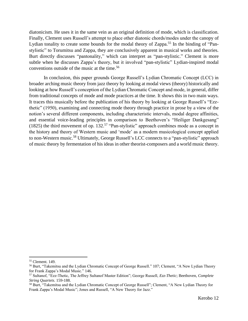diatonicism. He uses it in the same vein as an original definition of mode, which is classification. Finally, Clement uses Russell's attempt to place other diatonic chords/modes under the canopy of Lydian tonality to create some bounds for the modal theory of Zappa.<sup>55</sup> In the binding of "Panstylistic" to Torumitsu and Zappa, they are conclusively apparent in musical works and theories. Burt directly discusses "pantonality," which can interpret as "pan-stylistic." Clement is more subtle when he discusses Zappa's theory, but it involved "pan-stylistic" Lydian-inspired modal conventions outside of the music at the time.<sup>56</sup>

In conclusion, this paper grounds George Russell's Lydian Chromatic Concept (LCC) in broader arching music theory from jazz theory by looking at modal views (theory) historically and looking at how Russell's conception of the Lydian Chromatic Concept and mode, in general, differ from traditional concepts of mode and mode practices at the time. It shows this in two main ways. It traces this musically before the publication of his theory by looking at George Russell's "Ezzthetic" (1950), examining and connecting mode theory through practice in prose by a view of the notion's several different components, including characteristic intervals, modal degree affinities, and essential voice-leading principles in comparison to Beethoven's "Heiliger Dankgesang" (1825) the third movement of op. 132.<sup>57</sup> "Pan-stylistic" approach combines mode as a concept in the history and theory of Western music and 'mode' as a modern musicological concept applied to non-Western music.<sup>58</sup> Ultimately, George Russell's LCC connects to a "pan-stylistic" approach of music theory by fermentation of his ideas in other theorist-composers and a world music theory.

<sup>55</sup> Clement. 149.

<sup>56</sup> Burt, "Takemitsu and the Lydian Chromatic Concept of George Russell." 107; Clement, "A New Lydian Theory for Frank Zappa's Modal Music." 146.

<sup>57</sup> Sultanof, "Ezz-Thetic, The Jeffrey Sultanof Master Edition"; George Russell, *Ezz-Thetic*; Beethoven, *Complete String Quartets*. 159-188.

<sup>58</sup> Burt, "Takemitsu and the Lydian Chromatic Concept of George Russell"; Clement, "A New Lydian Theory for Frank Zappa's Modal Music"; Jones and Russell, "A New Theory for Jazz."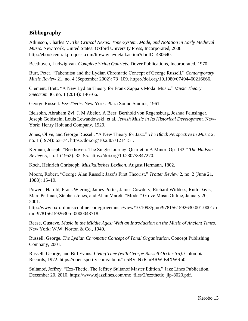# **Bibliography**

Atkinson, Charles M. *The Critical Nexus: Tone-System, Mode, and Notation in Early Medieval Music*. New York, United States: Oxford University Press, Incorporated, 2008. http://ebookcentral.proquest.com/lib/wayne/detail.action?docID=430640.

Beethoven, Ludwig van. *Complete String Quartets*. Dover Publications, Incorporated, 1970.

Burt, Peter. "Takemitsu and the Lydian Chromatic Concept of George Russell." *Contemporary Music Review* 21, no. 4 (September 2002): 73–109. https://doi.org/10.1080/07494460216666.

Clement, Brett. "A New Lydian Theory for Frank Zappa's Modal Music." *Music Theory Spectrum* 36, no. 1 (2014): 146–66.

George Russell. *Ezz-Thetic*. New York: Plaza Sound Studios, 1961.

Idelsohn, Abraham Zvi, J. M Abelor, A Beer, Berthold von Regensburg, Joshua Feinsinger, Joseph Goldstein, Louis Lewandowski, et al. *Jewish Music in Its Historical Development.* New-York: Henry Holt and Company, 1929.

Jones, Olive, and George Russell. "A New Theory for Jazz." *The Black Perspective in Music* 2, no. 1 (1974): 63–74. https://doi.org/10.2307/1214151.

Kerman, Joseph. "Beethoven: The Single Journey: Quartet in A Minor, Op. 132." *The Hudson Review* 5, no. 1 (1952): 32–55. https://doi.org/10.2307/3847270.

Koch, Heinrich Christoph. *Musikalisches Lexikon*. August Hermann, 1802.

Moore, Robert. "George Alan Russell: Jazz's First Theorist." *Trotter Review* 2, no. 2 (June 21, 1988): 15–19.

Powers, Harold, Frans Wiering, James Porter, James Cowdery, Richard Widdess, Ruth Davis, Marc Perlman, Stephen Jones, and Allan Marett. "Mode." Grove Music Online, January 20, 2001.

http://www.oxfordmusiconline.com/grovemusic/view/10.1093/gmo/9781561592630.001.0001/o mo-9781561592630-e-0000043718.

Reese, Gustave. *Music in the Middle Ages: With an Introduction on the Music of Ancient Times*. New York: W.W. Norton & Co., 1940.

Russell, George. *The Lydian Chromatic Concept of Tonal Organization*. Concept Publishing Company, 2001.

Russell, George, and Bill Evans. *Living Time (with George Russell Orchestra)*. Colombia Records, 1972. https://open.spotify.com/album/1n5BVJNxRJnBRWjB4XWRn0.

Sultanof, Jeffrey. "Ezz-Thetic, The Jeffrey Sultanof Master Edition." Jazz Lines Publication, December 20, 2010. https://www.ejazzlines.com/mc\_files/2/ezzthetic\_jlp-8020.pdf.